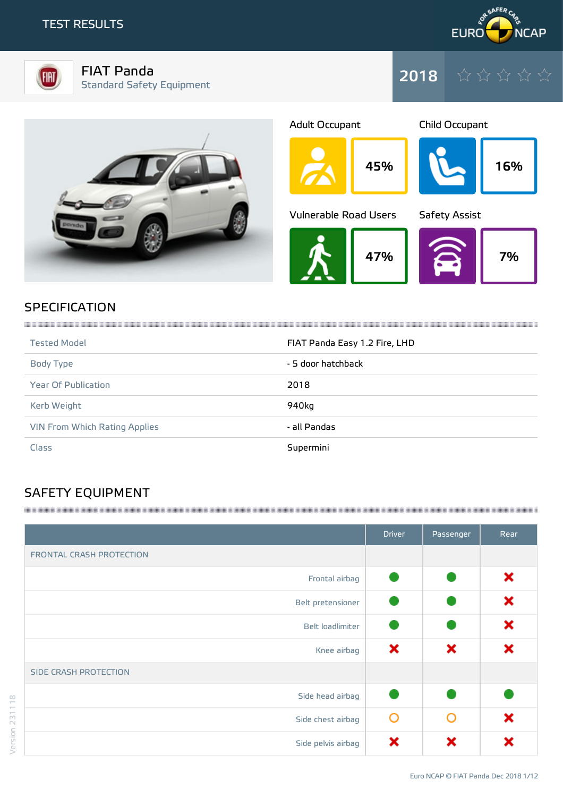



FIAT Panda Standard Safety Equipment









## **SPECIFICATION**

| <b>Tested Model</b>           | FIAT Panda Easy 1.2 Fire, LHD |
|-------------------------------|-------------------------------|
| Body Type                     | - 5 door hatchback            |
| <b>Year Of Publication</b>    | 2018                          |
| Kerb Weight                   | 940kg                         |
| VIN From Which Rating Applies | - all Pandas                  |
| Class                         | Supermini                     |

# SAFETY EQUIPMENT

|                              | <b>Driver</b> | Passenger | Rear |
|------------------------------|---------------|-----------|------|
| FRONTAL CRASH PROTECTION     |               |           |      |
| Frontal airbag               |               |           | ×    |
| Belt pretensioner            |               |           | ×    |
| Belt loadlimiter             |               |           | ×    |
| Knee airbag                  | ×             | ×         | ×    |
| <b>SIDE CRASH PROTECTION</b> |               |           |      |
| Side head airbag             |               |           |      |
| Side chest airbag            | O             | ∩         | ×    |
| Side pelvis airbag           | ×             | ×         | x    |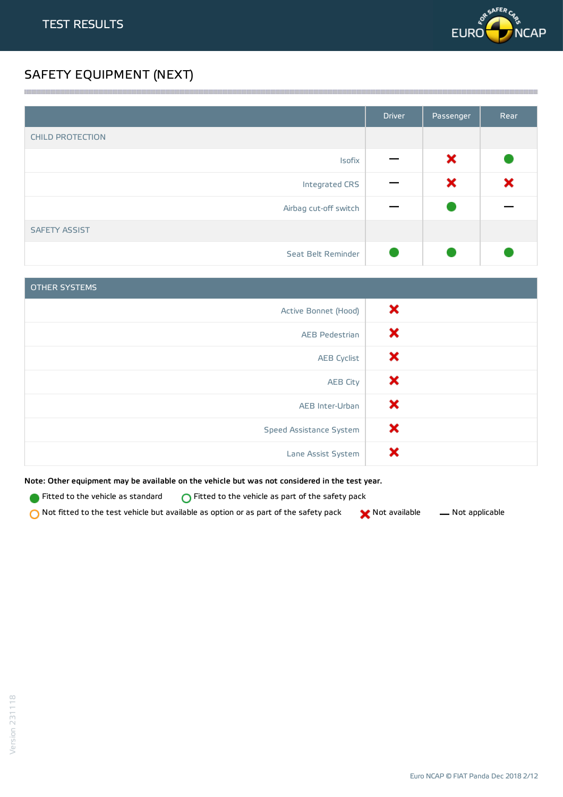

## SAFETY EQUIPMENT (NEXT)

|                         | <b>Driver</b> | Passenger | Rear |
|-------------------------|---------------|-----------|------|
| <b>CHILD PROTECTION</b> |               |           |      |
| Isofix                  |               | ×         |      |
| Integrated CRS          |               | ×         | ×    |
| Airbag cut-off switch   |               |           |      |
| <b>SAFETY ASSIST</b>    |               |           |      |
| Seat Belt Reminder      |               |           |      |

<u> 1989 - Andrea Stadt Stadt Stadt Stadt Stadt Stadt Stadt Stadt Stadt Stadt Stadt Stadt Stadt Stadt Stadt Stadt Stadt Stadt Stadt Stadt Stadt Stadt Stadt Stadt Stadt Stadt Stadt Stadt Stadt Stadt Stadt Stadt Stadt Stadt St</u>

| <b>OTHER SYSTEMS</b>    |   |
|-------------------------|---|
| Active Bonnet (Hood)    | × |
| <b>AEB Pedestrian</b>   | × |
| <b>AEB Cyclist</b>      | × |
| <b>AEB City</b>         | × |
| AEB Inter-Urban         | × |
| Speed Assistance System | × |
| Lane Assist System      | × |

Note: Other equipment may be available on the vehicle but was not considered in the test year.

**Fitted to the vehicle as standard**  $\bigcirc$  Fitted to the vehicle as part of the safety pack

 $\bigcirc$  Not fitted to the test vehicle but available as option or as part of the safety pack  $\bigcirc$  Not available  $\qquad$  Not applicable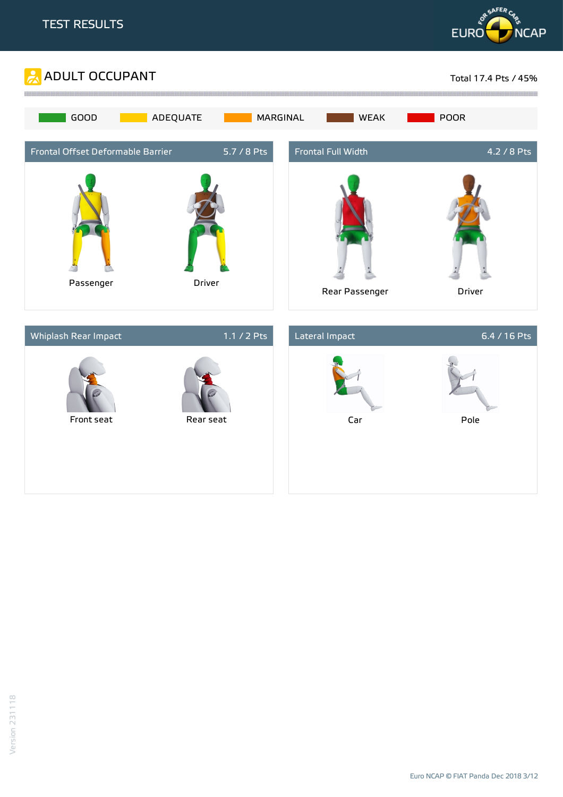



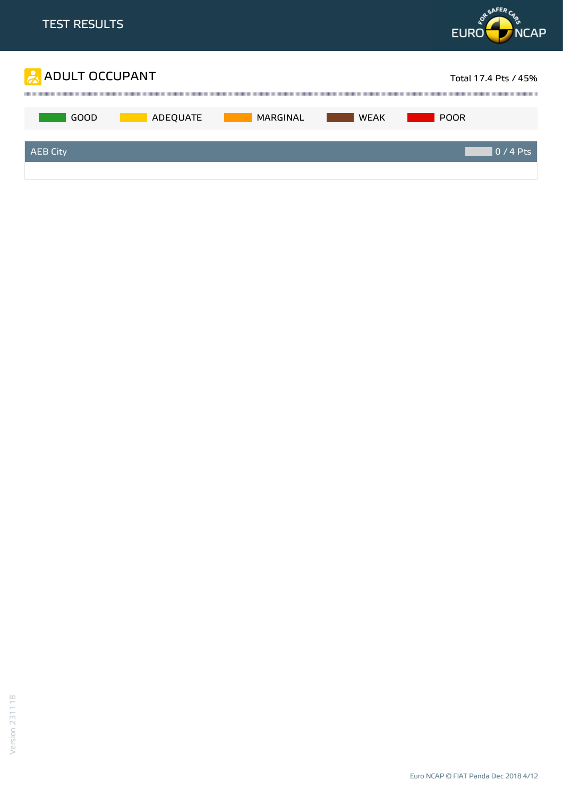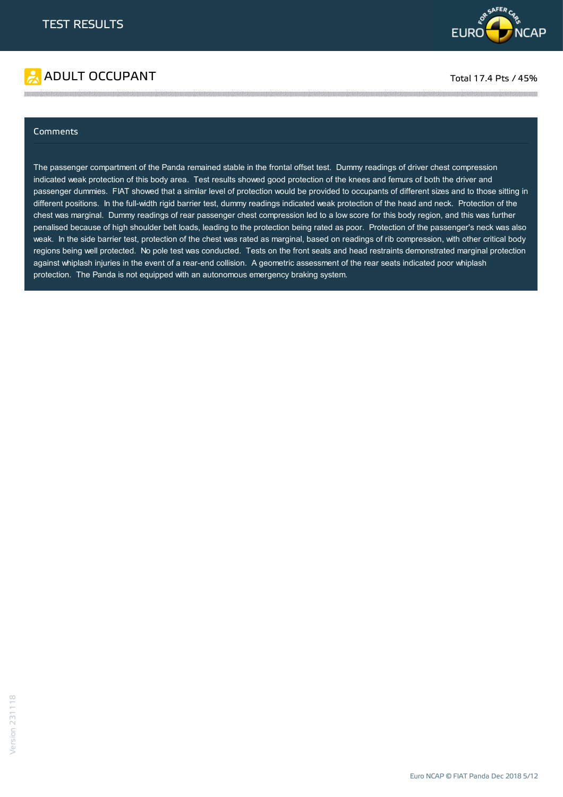



## Comments

The passenger compartment of the Panda remained stable in the frontal offset test. Dummy readings of driver chest compression indicated weak protection of this body area. Test results showed good protection of the knees and femurs of both the driver and passenger dummies. FIAT showed that a similar level of protection would be provided to occupants of different sizes and to those sitting in different positions. In the full-width rigid barrier test, dummy readings indicated weak protection of the head and neck. Protection of the chest was marginal. Dummy readings of rear passenger chest compression led to a low score for this body region, and this was further penalised because of high shoulder belt loads, leading to the protection being rated as poor. Protection of the passenger's neck was also weak. In the side barrier test, protection of the chest was rated as marginal, based on readings of rib compression, with other critical body regions being well protected. No pole test was conducted. Tests on the front seats and head restraints demonstrated marginal protection against whiplash injuries in the event of a rear-end collision. A geometric assessment of the rear seats indicated poor whiplash protection. The Panda is not equipped with an autonomous emergency braking system.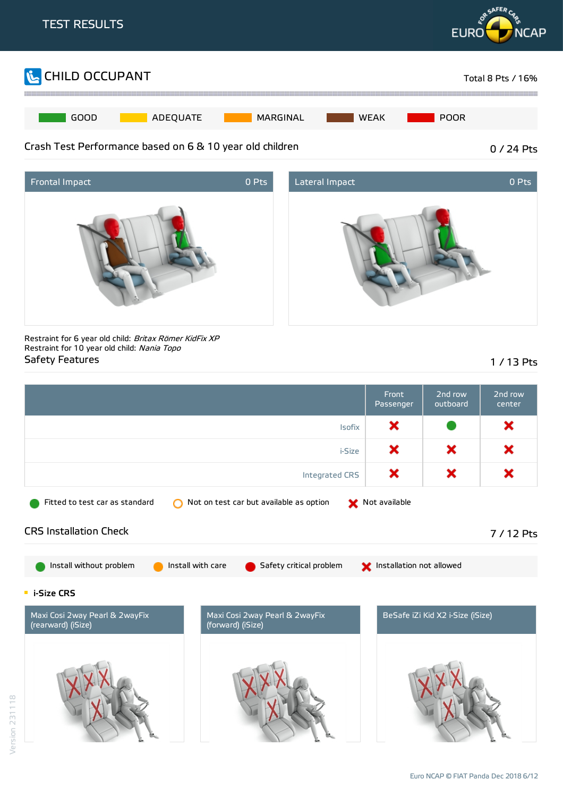





Restraint for 6 year old child: Britax Römer KidFix XP Restraint for 10 year old child: Nania Topo Safety Features 2012 12:00 12:00 12:00 12:00 12:00 12:00 12:00 12:00 12:00 12:00 12:00 12:00 12:00 12:00 12:00

|                                                                                                     |                                                     | Front<br>Passenger | 2nd row<br>outboard              | 2nd row<br>center |
|-----------------------------------------------------------------------------------------------------|-----------------------------------------------------|--------------------|----------------------------------|-------------------|
| <b>Isofix</b>                                                                                       |                                                     |                    |                                  | ×                 |
|                                                                                                     | i-Size                                              | ×                  | ×                                | ×                 |
|                                                                                                     | Integrated CRS                                      | ×                  | ×                                | ×                 |
| Fitted to test car as standard                                                                      | Not on test car but available as option             | Not available      |                                  |                   |
| <b>CRS Installation Check</b>                                                                       |                                                     |                    |                                  | 7 / 12 Pts        |
| Install without problem<br>Install with care<br>Safety critical problem<br>Installation not allowed |                                                     |                    |                                  |                   |
| <b>E</b> i-Size CRS                                                                                 |                                                     |                    |                                  |                   |
| Maxi Cosi 2way Pearl & 2wayFix<br>(rearward) (iSize)                                                | Maxi Cosi 2way Pearl & 2wayFix<br>(forward) (iSize) |                    | BeSafe iZi Kid X2 i-Size (iSize) |                   |
|                                                                                                     |                                                     |                    |                                  |                   |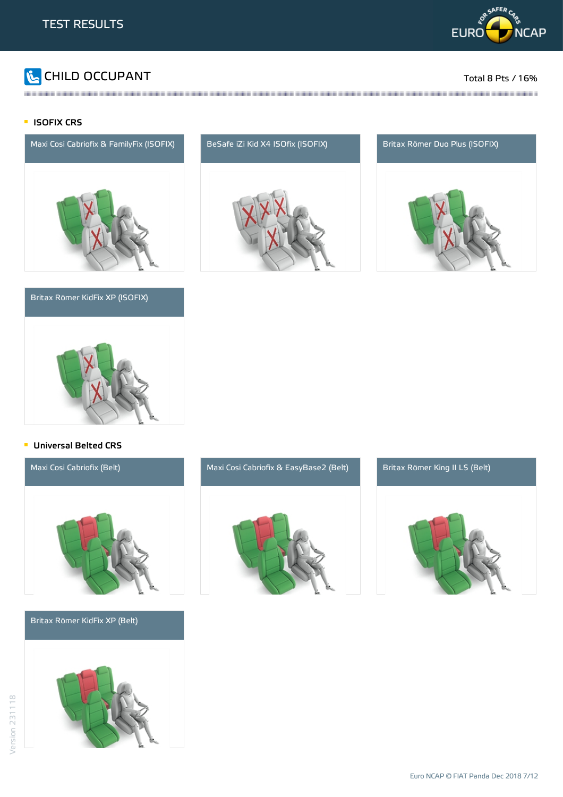

# CHILD OCCUPANT Total 8 Pts / 16%

## **ISOFIX CRS**



## Britax Römer KidFix XP (ISOFIX)



## **Universal Belted CRS**



Britax Römer KidFix XP (Belt)



# Maxi Cosi Cabriofix (Belt) Maxi Cosi Cabriofix & EasyBase2 (Belt) Britax Römer King II LS (Belt)





and the contract of the contract of the contract of the contract of the contract of the contract of the contract of the contract of the contract of the contract of the contract of the contract of the contract of the contra



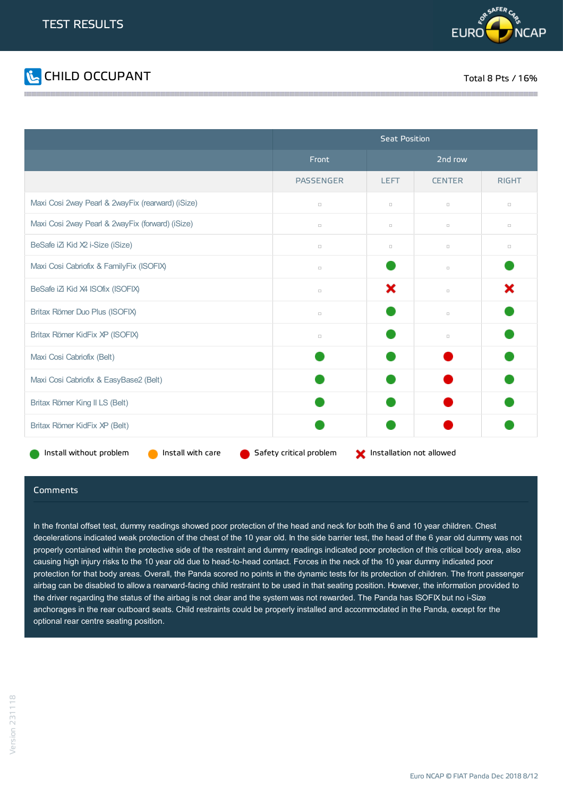



|                                                   | <b>Seat Position</b>                                |             |               |              |
|---------------------------------------------------|-----------------------------------------------------|-------------|---------------|--------------|
|                                                   | Front                                               | 2nd row     |               |              |
|                                                   | <b>PASSENGER</b>                                    | <b>LEFT</b> | <b>CENTER</b> | <b>RIGHT</b> |
| Maxi Cosi 2way Pearl & 2wayFix (rearward) (iSize) | $\Box$                                              | $\Box$      | $\Box$        | $\Box$       |
| Maxi Cosi 2way Pearl & 2wayFix (forward) (iSize)  | $\Box$                                              | $\Box$      | $\Box$        | $\Box$       |
| BeSafe iZi Kid X2 i-Size (iSize)                  | $\Box$                                              | $\Box$      | $\Box$        | $\Box$       |
| Maxi Cosi Cabriofix & FamilyFix (ISOFIX)          | $\Box$                                              |             | $\Box$        |              |
| BeSafe iZi Kid X4 ISOfix (ISOFIX)                 | $\Box$                                              | ×           | $\Box$        | ×            |
| Britax Römer Duo Plus (ISOFIX)                    | $\Box$                                              |             | $\Box$        |              |
| Britax Römer KidFix XP (ISOFIX)                   | $\Box$                                              |             | $\Box$        |              |
| Maxi Cosi Cabriofix (Belt)                        |                                                     |             |               |              |
| Maxi Cosi Cabriofix & EasyBase2 (Belt)            |                                                     |             |               |              |
| Britax Römer King II LS (Belt)                    |                                                     |             |               |              |
| Britax Römer KidFix XP (Belt)                     |                                                     |             |               |              |
| Install with care<br>Install without problem      | Safety critical problem<br>Installation not allowed |             |               |              |

### Comments

In the frontal offset test, dummy readings showed poor protection of the head and neck for both the 6 and 10 year children. Chest decelerations indicated weak protection of the chest of the 10 year old. In the side barrier test, the head of the 6 year old dummy was not properly contained within the protective side of the restraint and dummy readings indicated poor protection of this critical body area, also causing high injury risks to the 10 year old due to head-to-head contact. Forces in the neck of the 10 year dummy indicated poor protection for that body areas. Overall, the Panda scored no points in the dynamic tests for its protection of children. The front passenger airbag can be disabled to allow a rearward-facing child restraint to be used in that seating position. However, the information provided to the driver regarding the status of the airbag is not clear and the system was not rewarded. The Panda has ISOFIX but no i-Size anchorages in the rear outboard seats. Child restraints could be properly installed and accommodated in the Panda, except for the optional rear centre seating position.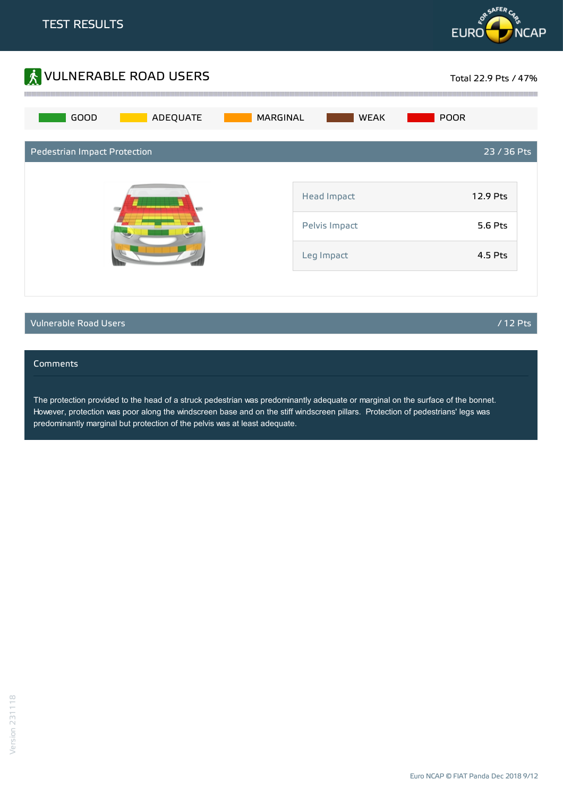



## Vulnerable Road Users / 12 Pts

## Comments

The protection provided to the head of a struck pedestrian was predominantly adequate or marginal on the surface of the bonnet. However, protection was poor along the windscreen base and on the stiff windscreen pillars. Protection of pedestrians' legs was predominantly marginal but protection of the pelvis was at least adequate.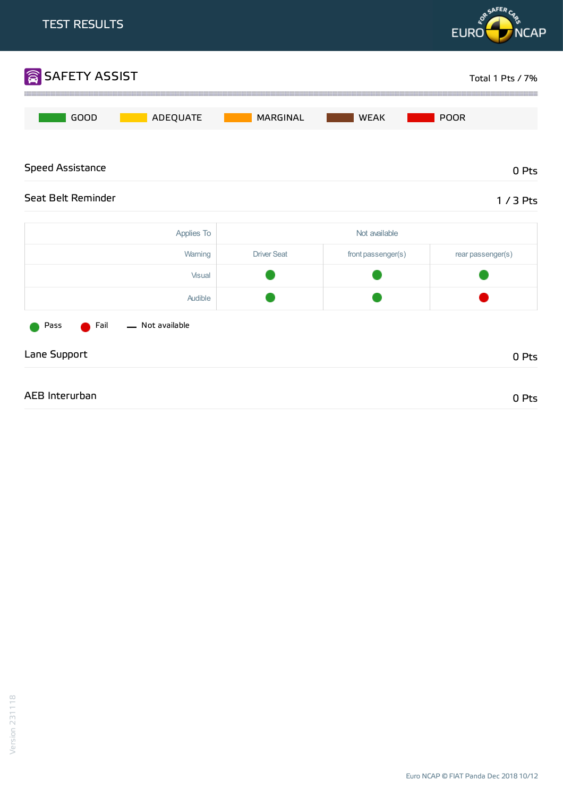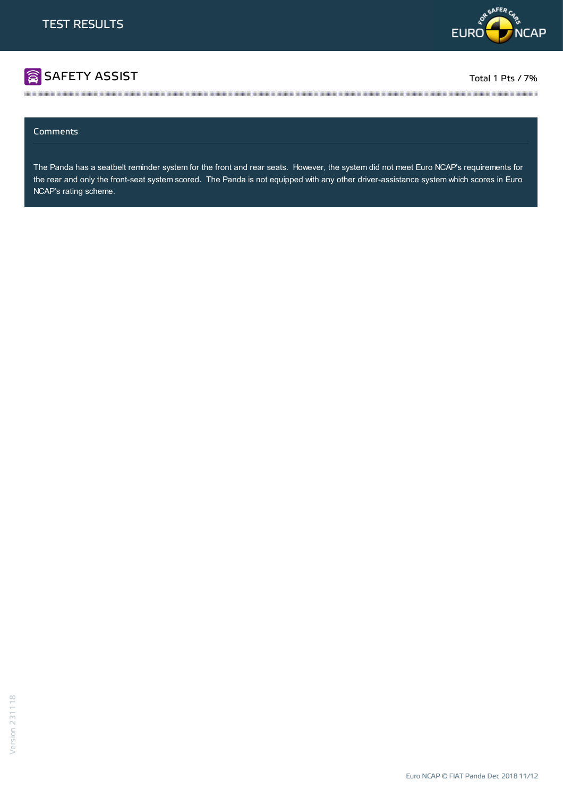

# SAFETY ASSIST TOTAL TOTAL TOTAL TOTAL TOTAL 1 Pts / 7%

## Comments

The Panda has a seatbelt reminder system for the front and rear seats. However, the system did not meet Euro NCAP's requirements for the rear and only the front-seat system scored. The Panda is not equipped with any other driver-assistance system which scores in Euro NCAP's rating scheme.